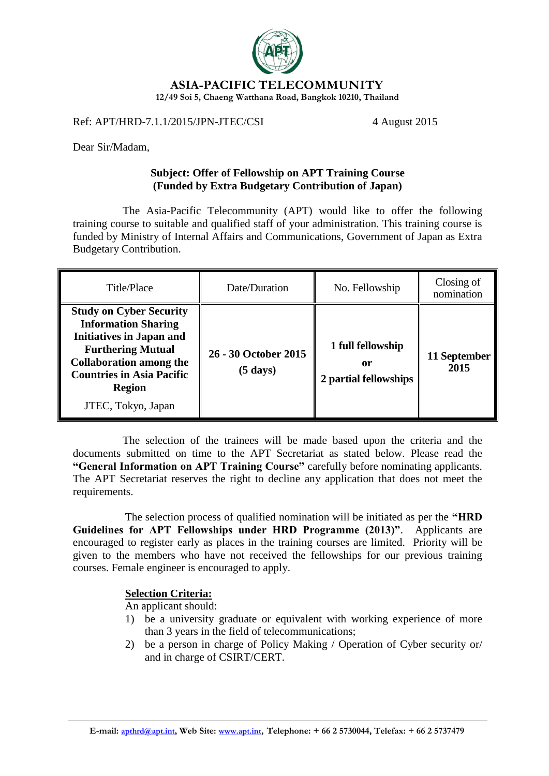

**ASIA-PACIFIC TELECOMMUNITY**

**12/49 Soi 5, Chaeng Watthana Road, Bangkok 10210, Thailand**

Ref: APT/HRD-7.1.1/2015/JPN-JTEC/CSI 4 August 2015

Dear Sir/Madam,

## **Subject: Offer of Fellowship on APT Training Course (Funded by Extra Budgetary Contribution of Japan)**

The Asia-Pacific Telecommunity (APT) would like to offer the following training course to suitable and qualified staff of your administration. This training course is funded by Ministry of Internal Affairs and Communications, Government of Japan as Extra Budgetary Contribution.

| Title/Place                                                                                                                                                                                                                              | Date/Duration                              | No. Fellowship                                   | Closing of<br>nomination |
|------------------------------------------------------------------------------------------------------------------------------------------------------------------------------------------------------------------------------------------|--------------------------------------------|--------------------------------------------------|--------------------------|
| <b>Study on Cyber Security</b><br><b>Information Sharing</b><br><b>Initiatives in Japan and</b><br><b>Furthering Mutual</b><br><b>Collaboration among the</b><br><b>Countries in Asia Pacific</b><br><b>Region</b><br>JTEC, Tokyo, Japan | 26 - 30 October 2015<br>$(5 \text{ days})$ | 1 full fellowship<br>or<br>2 partial fellowships | 11 September<br>2015     |

The selection of the trainees will be made based upon the criteria and the documents submitted on time to the APT Secretariat as stated below. Please read the **"General Information on APT Training Course"** carefully before nominating applicants. The APT Secretariat reserves the right to decline any application that does not meet the requirements.

The selection process of qualified nomination will be initiated as per the **"HRD Guidelines for APT Fellowships under HRD Programme (2013)"**. Applicants are encouraged to register early as places in the training courses are limited. Priority will be given to the members who have not received the fellowships for our previous training courses. Female engineer is encouraged to apply.

# **Selection Criteria:**

An applicant should:

- 1) be a university graduate or equivalent with working experience of more than 3 years in the field of telecommunications;
- 2) be a person in charge of Policy Making / Operation of Cyber security or/ and in charge of CSIRT/CERT.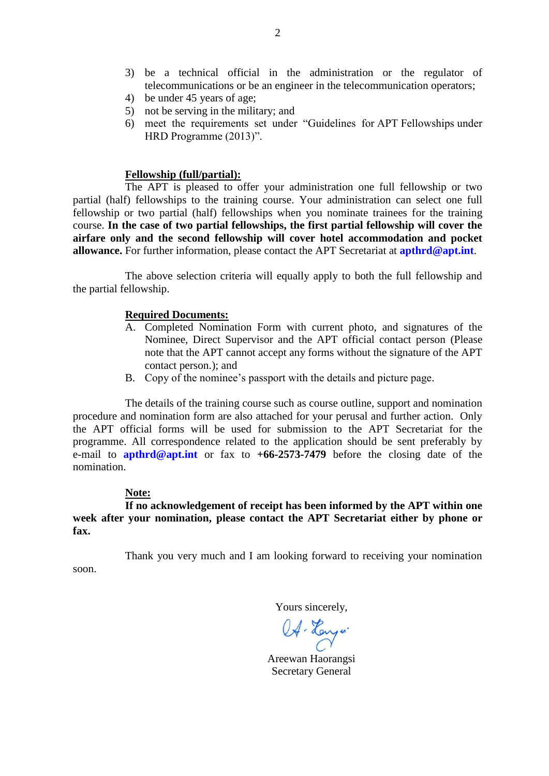- 3) be a technical official in the administration or the regulator of telecommunications or be an engineer in the telecommunication operators;
- 4) be under 45 years of age;
- 5) not be serving in the military; and
- 6) meet the requirements set under "Guidelines for APT Fellowships under HRD Programme (2013)".

### **Fellowship (full/partial):**

The APT is pleased to offer your administration one full fellowship or two partial (half) fellowships to the training course. Your administration can select one full fellowship or two partial (half) fellowships when you nominate trainees for the training course. **In the case of two partial fellowships, the first partial fellowship will cover the airfare only and the second fellowship will cover hotel accommodation and pocket allowance.** For further information, please contact the APT Secretariat at **[apthrd@apt.int](mailto:apthrd@apt.int)**.

The above selection criteria will equally apply to both the full fellowship and the partial fellowship.

#### **Required Documents:**

- A. Completed Nomination Form with current photo, and signatures of the Nominee, Direct Supervisor and the APT official contact person (Please note that the APT cannot accept any forms without the signature of the APT contact person.); and
- B. Copy of the nominee's passport with the details and picture page.

The details of the training course such as course outline, support and nomination procedure and nomination form are also attached for your perusal and further action. Only the APT official forms will be used for submission to the APT Secretariat for the programme. All correspondence related to the application should be sent preferably by e-mail to **[apthrd@apt.int](mailto:apthrd@apt.int)** or fax to **+66-2573-7479** before the closing date of the nomination.

#### **Note:**

**If no acknowledgement of receipt has been informed by the APT within one week after your nomination, please contact the APT Secretariat either by phone or fax.**

Thank you very much and I am looking forward to receiving your nomination soon.

Yours sincerely,

OA. Hanyw.

Areewan Haorangsi Secretary General